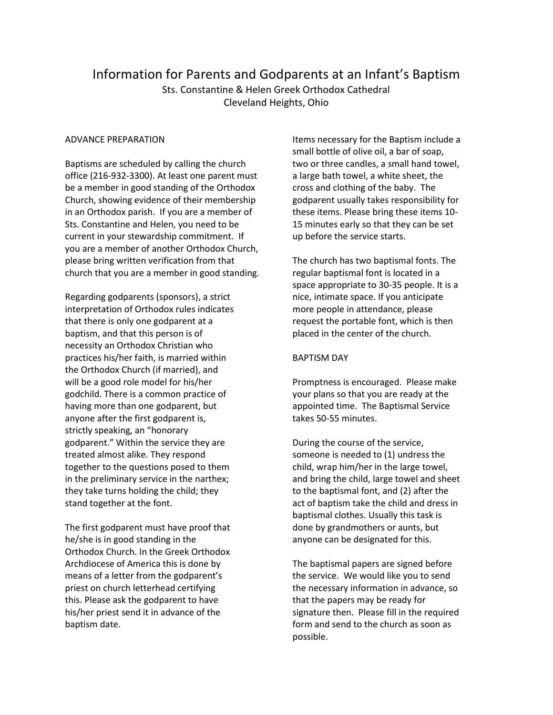# Information for Parents and Godparents at an Infant's Baptism

Sts. Constantine & Helen Greek Orthodox Cathedral Cleveland Heights, Ohio

### ADVANCE PREPARATION

Baptisms are scheduled by calling the church office (216-932-3300). At least one parent must be a member in good standing of the Orthodox Church, showing evidence of their membership in an Orthodox parish. If you are a member of Sts. Constantine and Helen, you need to be current in your stewardship commitment. If you are a member of another Orthodox Church, please bring written verification from that church that you are a member in good standing.

Regarding godparents (sponsors), a strict interpretation of Orthodox rules indicates that there is only one godparent at a baptism, and that this person is of necessity an Orthodox Christian who practices his/her faith, is married within the Orthodox Church (if married), and will be a good role model for his/her godchild. There is a common practice of having more than one godparent, but anyone after the first godparent is, strictly speaking, an "honorary godparent." Within the service they are treated almost alike. They respond together to the questions posed to them in the preliminary service in the narthex; they take turns holding the child; they stand together at the font.

The first godparent must have proof that he/she is in good standing in the Orthodox Church. In the Greek Orthodox Archdiocese of America this is done by means of a letter from the godparent's priest on church letterhead certifying this. Please ask the godparent to have his/her priest send it in advance of the baptism date.

Items necessary for the Baptism include a small bottle of olive oil, a bar of soap, two or three candles, a small hand towel, a large bath towel, a white sheet, the cross and clothing of the baby. The godparent usually takes responsibility for these items. Please bring these items 10- 15 minutes early so that they can be set up before the service starts.

The church has two baptismal fonts. The regular baptismal font is located in a space appropriate to 30-35 people. It is a nice, intimate space. If you anticipate more people in attendance, please request the portable font, which is then placed in the center of the church.

## BAPTISM DAY

Promptness is encouraged. Please make your plans so that you are ready at the appointed time. The Baptismal Service takes 50-55 minutes.

During the course of the service, someone is needed to (1) undress the child, wrap him/her in the large towel, and bring the child, large towel and sheet to the baptismal font, and (2) after the act of baptism take the child and dress in baptismal clothes. Usually this task is done by grandmothers or aunts, but anyone can be designated for this.

The baptismal papers are signed before the service. We would like you to send the necessary information in advance, so that the papers may be ready for signature then. Please fill in the required form and send to the church as soon as possible.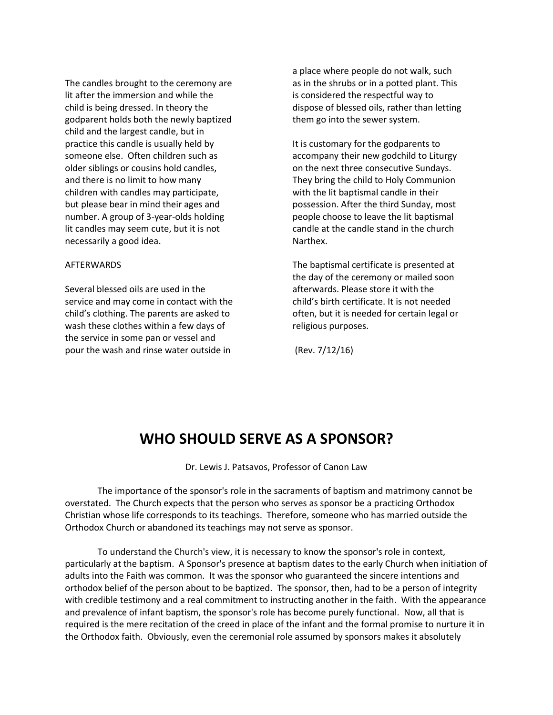The candles brought to the ceremony are lit after the immersion and while the child is being dressed. In theory the godparent holds both the newly baptized child and the largest candle, but in practice this candle is usually held by someone else. Often children such as older siblings or cousins hold candles, and there is no limit to how many children with candles may participate, but please bear in mind their ages and number. A group of 3-year-olds holding lit candles may seem cute, but it is not necessarily a good idea.

#### AFTERWARDS

Several blessed oils are used in the service and may come in contact with the child's clothing. The parents are asked to wash these clothes within a few days of the service in some pan or vessel and pour the wash and rinse water outside in

a place where people do not walk, such as in the shrubs or in a potted plant. This is considered the respectful way to dispose of blessed oils, rather than letting them go into the sewer system.

It is customary for the godparents to accompany their new godchild to Liturgy on the next three consecutive Sundays. They bring the child to Holy Communion with the lit baptismal candle in their possession. After the third Sunday, most people choose to leave the lit baptismal candle at the candle stand in the church Narthex.

The baptismal certificate is presented at the day of the ceremony or mailed soon afterwards. Please store it with the child's birth certificate. It is not needed often, but it is needed for certain legal or religious purposes.

(Rev. 7/12/16)

# **WHO SHOULD SERVE AS A SPONSOR?**

Dr. Lewis J. Patsavos, Professor of Canon Law

The importance of the sponsor's role in the sacraments of baptism and matrimony cannot be overstated. The Church expects that the person who serves as sponsor be a practicing Orthodox Christian whose life corresponds to its teachings. Therefore, someone who has married outside the Orthodox Church or abandoned its teachings may not serve as sponsor.

To understand the Church's view, it is necessary to know the sponsor's role in context, particularly at the baptism. A Sponsor's presence at baptism dates to the early Church when initiation of adults into the Faith was common. It was the sponsor who guaranteed the sincere intentions and orthodox belief of the person about to be baptized. The sponsor, then, had to be a person of integrity with credible testimony and a real commitment to instructing another in the faith. With the appearance and prevalence of infant baptism, the sponsor's role has become purely functional. Now, all that is required is the mere recitation of the creed in place of the infant and the formal promise to nurture it in the Orthodox faith. Obviously, even the ceremonial role assumed by sponsors makes it absolutely